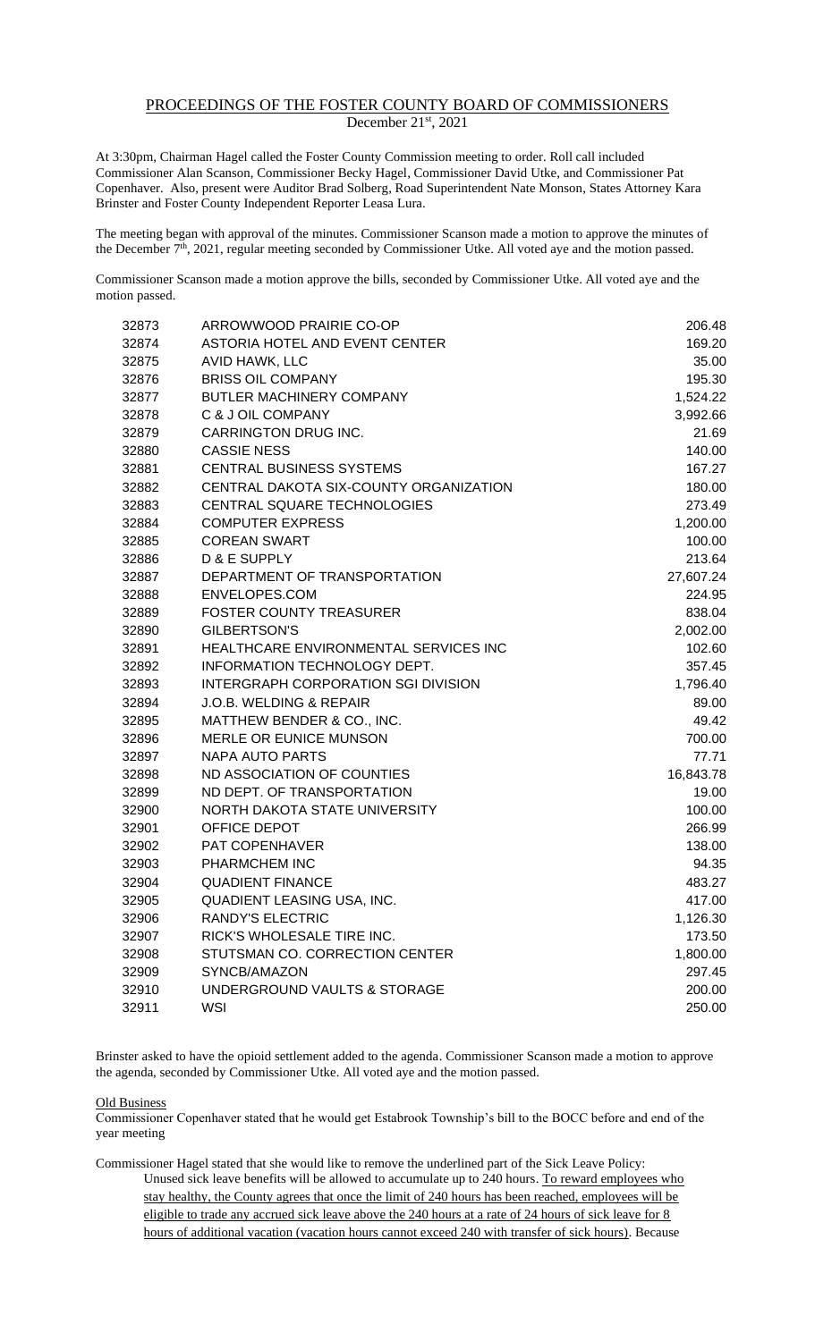## PROCEEDINGS OF THE FOSTER COUNTY BOARD OF COMMISSIONERS December 21st, 2021

At 3:30pm, Chairman Hagel called the Foster County Commission meeting to order. Roll call included Commissioner Alan Scanson, Commissioner Becky Hagel, Commissioner David Utke, and Commissioner Pat Copenhaver. Also, present were Auditor Brad Solberg, Road Superintendent Nate Monson, States Attorney Kara Brinster and Foster County Independent Reporter Leasa Lura.

The meeting began with approval of the minutes. Commissioner Scanson made a motion to approve the minutes of the December 7<sup>th</sup>, 2021, regular meeting seconded by Commissioner Utke. All voted aye and the motion passed.

Commissioner Scanson made a motion approve the bills, seconded by Commissioner Utke. All voted aye and the motion passed.

| 32873 | ARROWWOOD PRAIRIE CO-OP                    | 206.48    |
|-------|--------------------------------------------|-----------|
| 32874 | ASTORIA HOTEL AND EVENT CENTER             | 169.20    |
| 32875 | AVID HAWK, LLC                             | 35.00     |
| 32876 | <b>BRISS OIL COMPANY</b>                   | 195.30    |
| 32877 | BUTLER MACHINERY COMPANY                   | 1,524.22  |
| 32878 | C & J OIL COMPANY                          | 3,992.66  |
| 32879 | CARRINGTON DRUG INC.                       | 21.69     |
| 32880 | <b>CASSIE NESS</b>                         | 140.00    |
| 32881 | CENTRAL BUSINESS SYSTEMS                   | 167.27    |
| 32882 | CENTRAL DAKOTA SIX-COUNTY ORGANIZATION     | 180.00    |
| 32883 | CENTRAL SQUARE TECHNOLOGIES                | 273.49    |
| 32884 | <b>COMPUTER EXPRESS</b>                    | 1,200.00  |
| 32885 | <b>COREAN SWART</b>                        | 100.00    |
| 32886 | D & E SUPPLY                               | 213.64    |
| 32887 | DEPARTMENT OF TRANSPORTATION               | 27,607.24 |
| 32888 | ENVELOPES.COM                              | 224.95    |
| 32889 | <b>FOSTER COUNTY TREASURER</b>             | 838.04    |
| 32890 | <b>GILBERTSON'S</b>                        | 2,002.00  |
| 32891 | HEALTHCARE ENVIRONMENTAL SERVICES INC      | 102.60    |
| 32892 | INFORMATION TECHNOLOGY DEPT.               | 357.45    |
| 32893 | <b>INTERGRAPH CORPORATION SGI DIVISION</b> | 1,796.40  |
| 32894 | J.O.B. WELDING & REPAIR                    | 89.00     |
| 32895 | MATTHEW BENDER & CO., INC.                 | 49.42     |
| 32896 | MERLE OR EUNICE MUNSON                     | 700.00    |
| 32897 | <b>NAPA AUTO PARTS</b>                     | 77.71     |
| 32898 | ND ASSOCIATION OF COUNTIES                 | 16,843.78 |
| 32899 | ND DEPT. OF TRANSPORTATION                 | 19.00     |
| 32900 | NORTH DAKOTA STATE UNIVERSITY              | 100.00    |
| 32901 | OFFICE DEPOT                               | 266.99    |
| 32902 | PAT COPENHAVER                             | 138.00    |
| 32903 | PHARMCHEM INC                              | 94.35     |
| 32904 | <b>QUADIENT FINANCE</b>                    | 483.27    |
| 32905 | QUADIENT LEASING USA, INC.                 | 417.00    |
| 32906 | <b>RANDY'S ELECTRIC</b>                    | 1,126.30  |
| 32907 | RICK'S WHOLESALE TIRE INC.                 | 173.50    |
| 32908 | STUTSMAN CO. CORRECTION CENTER             | 1,800.00  |
| 32909 | SYNCB/AMAZON                               | 297.45    |
| 32910 | UNDERGROUND VAULTS & STORAGE               | 200.00    |
| 32911 | <b>WSI</b>                                 | 250.00    |

Brinster asked to have the opioid settlement added to the agenda. Commissioner Scanson made a motion to approve the agenda, seconded by Commissioner Utke. All voted aye and the motion passed.

Old Business

Commissioner Copenhaver stated that he would get Estabrook Township's bill to the BOCC before and end of the year meeting

Commissioner Hagel stated that she would like to remove the underlined part of the Sick Leave Policy: Unused sick leave benefits will be allowed to accumulate up to 240 hours. To reward employees who stay healthy, the County agrees that once the limit of 240 hours has been reached, employees will be eligible to trade any accrued sick leave above the 240 hours at a rate of 24 hours of sick leave for 8 hours of additional vacation (vacation hours cannot exceed 240 with transfer of sick hours). Because